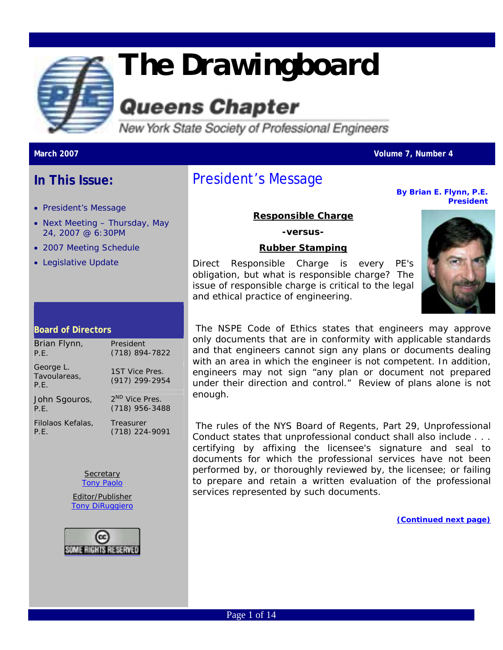

# *The Drawingboard*

## **Queens Chapter**

New York State Society of Professional Engineers

### **In This Issue:**

- President's Message
- Next Meeting Thursday, May 24, 2007 @ 6:30PM
- 2007 Meeting Schedule
- Legislative Update

#### **Board of Directors**

| Brian Flynn,                      | President                        |  |  |  |  |
|-----------------------------------|----------------------------------|--|--|--|--|
| P.E.                              | (718) 894-7822                   |  |  |  |  |
| George L.<br>Tavoulareas,<br>P.E. | 1ST Vice Pres.<br>(917) 299-2954 |  |  |  |  |
| John Sgouros,                     | 2 <sup>ND</sup> Vice Pres.       |  |  |  |  |
| P.E.                              | $(718)$ 956-3488                 |  |  |  |  |
| Filolaos Kefalas,                 | Treasurer                        |  |  |  |  |
| P.F.                              | (718) 224-9091                   |  |  |  |  |



Editor/Publisher [Tony DiRuggiero](mailto:TONYTONY+Drawingboard@gmail.com?subject=FEEDBACK:JAN%20)



### President's Message

**March 2007 Volume 7, Number 4** 

*By Brian E. Flynn, P.E. President* 

#### **Responsible Charge**

**-versus-**

#### **Rubber Stamping**

Direct Responsible Charge is every PE's obligation, but what is responsible charge? The issue of responsible charge is critical to the legal and ethical practice of engineering.



 The NSPE Code of Ethics states that engineers may approve only documents that are in conformity with applicable standards and that engineers cannot sign any plans or documents dealing with an area in which the engineer is not competent. In addition, engineers may not sign "any plan or document not prepared under their direction and control." Review of plans alone is not enough.

 The rules of the NYS Board of Regents, Part 29, Unprofessional Conduct states that unprofessional conduct shall also include . . . certifying by affixing the licensee's signature and seal to documents for which the professional services have not been performed by, or thoroughly reviewed by, the licensee; or failing to prepare and retain a written evaluation of the professional services represented by such documents.

*(Continued next page)*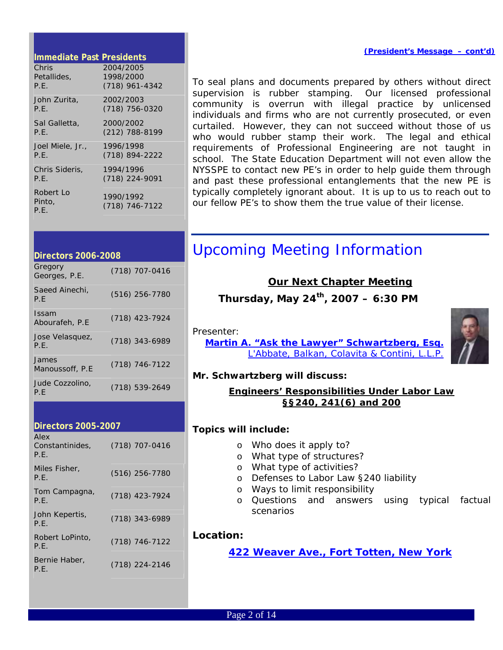#### **Immediate Past Presidents**

| Chris                       | 2004/2005                     |
|-----------------------------|-------------------------------|
| Petallides.                 | 1998/2000                     |
| P.E.                        | $(718)$ 961-4342              |
| John Zurita,                | 2002/2003                     |
| P.E.                        | (718) 756-0320                |
| Sal Galletta,               | 2000/2002                     |
| P.E.                        | $(212)$ 788-8199              |
| Joel Miele, Jr.,            | 1996/1998                     |
| P.E.                        | (718) 894-2222                |
| Chris Sideris.              | 1994/1996                     |
| P.E.                        | (718) 224-9091                |
| Robert Lo<br>Pinto.<br>P.E. | 1990/1992<br>$(718)$ 746-7122 |

*(President's Message – cont'd)*

To seal plans and documents prepared by others without direct supervision is rubber stamping. Our licensed professional community is overrun with illegal practice by unlicensed individuals and firms who are not currently prosecuted, or even curtailed. However, they can not succeed without those of us who would rubber stamp their work. The legal and ethical requirements of Professional Engineering are not taught in school. The State Education Department will not even allow the NYSSPE to contact new PE's in order to help guide them through and past these professional entanglements that the new PE is typically completely ignorant about. It is up to us to reach out to our fellow PE's to show them the true value of their license.

| <b>Directors 2006-2008</b>     |                  |  |  |  |  |  |  |
|--------------------------------|------------------|--|--|--|--|--|--|
| Gregory<br>Georges, P.E.       | (718) 707-0416   |  |  |  |  |  |  |
| Saeed Ainechi.<br>P.F          | $(516)$ 256-7780 |  |  |  |  |  |  |
| <u>Issam</u><br>Abourafeh, P.E | (718) 423-7924   |  |  |  |  |  |  |
| Jose Velasquez,<br>P.F.        | (718) 343-6989   |  |  |  |  |  |  |
| James<br>Manoussoff, P.E.      | (718) 746-7122   |  |  |  |  |  |  |
| Jude Cozzolino.<br>P.F         | $(718)$ 539-2649 |  |  |  |  |  |  |

| <b>Directors 2005-2007</b>      |                  |
|---------------------------------|------------------|
| Alex<br>Constantinides,<br>P.F. | $(718)$ 707-0416 |
| Miles Fisher,<br>P.E.           | $(516)$ 256-7780 |
| Tom Campagna,<br>P.E.           | (718) 423-7924   |
| John Kepertis,<br>P.F.          | (718) 343-6989   |
| Robert LoPinto.<br>P.E.         | $(718)$ 746-7122 |
| Bernie Haber,<br>P.E.           | (718) 224-2146   |
|                                 |                  |

### Upcoming Meeting Information

### *Our Next Chapter Meeting*

*Thursday, May 24th, 2007 – 6:30 PM* 

#### Presenter:

**[Martin A. "Ask the Lawyer" Schwartzberg, Esq.](http://www.lbcclaw.com/partners/index.asp?id=29)** [L'Abbate, Balkan, Colavita & Contini, L.L.P.](http://www.lbcclaw.com/flash.html)

#### *Mr. Schwartzberg will discuss:*

**Engineers' Responsibilities Under Labor Law §§240, 241(6) and 200**

#### *Topics will include:*

- o Who does it apply to?
- o What type of structures?
- o What type of activities?
- o Defenses to Labor Law §240 liability
- o Ways to limit responsibility
- o Questions and answers using typical factual scenarios

#### *Location:*

*[422 Weaver Ave., Fort Totten, New York](http://maps.google.com/maps?f=q&hl=en&q=professional+design+center,+422+weaver+avenue,+11359&om=1&ll=40.790614,-73.788171&spn=0.016278,0.029268&t=h)*

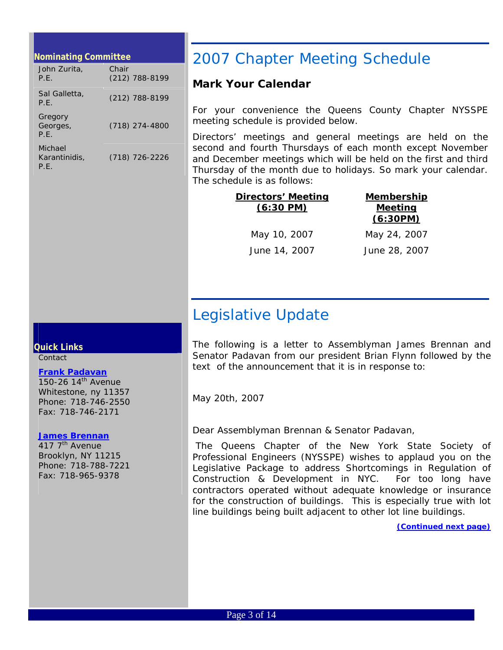#### **Nominating Committee**

| John Zurita,<br>P.F.             | Chair<br>(212) 788-8199 |
|----------------------------------|-------------------------|
| Sal Galletta,<br>P.F.            | $(212)$ 788-8199        |
| Gregory<br>Georges,<br>P.F.      | $(718)$ 274-4800        |
| Michael<br>Karantinidis.<br>P.E. | $(718)$ 726-2226        |

### 2007 Chapter Meeting Schedule

#### **Mark Your Calendar**

For your convenience the Queens County Chapter NYSSPE meeting schedule is provided below.

Directors' meetings and general meetings are held on the second and fourth Thursdays of each month except November and December meetings which will be held on the first and third Thursday of the month due to holidays. So mark your calendar. The schedule is as follows:

June 14, 2007 June 28, 2007

| <b>Directors' Meeting</b> | <b>Membership</b>          |
|---------------------------|----------------------------|
| $(6:30$ PM)               | <u>Meeting</u><br>(6:30PM) |
| May 10, 2007              | May 24, 2007               |

### Legislative Update

The following is a letter to Assemblyman James Brennan and Senator Padavan from our president Brian Flynn followed by the text of the announcement that it is in response to:

May 20th, 2007

Dear Assemblyman Brennan & Senator Padavan,

 The Queens Chapter of the New York State Society of Professional Engineers (NYSSPE) wishes to applaud you on the Legislative Package to address Shortcomings in Regulation of Construction & Development in NYC. For too long have contractors operated without adequate knowledge or insurance for the construction of buildings. This is especially true with lot line buildings being built adjacent to other lot line buildings.

*(Continued next page)*

#### **Quick Links**

**Contact** 

#### **[Frank Padavan](http://frankpadavan.com/send_email.asp)**

150-26 14<sup>th</sup> Avenue Whitestone, ny 11357 Phone: 718-746-2550 Fax: 718-746-2171

#### **[James Brennan](mailto:brennaj@assembly.state.ny.us?subject=May07-%20Drawingboard%20Feedback%20-%20)**

417 7<sup>th</sup> Avenue Brooklyn, NY 11215 Phone: 718-788-7221 Fax: 718-965-9378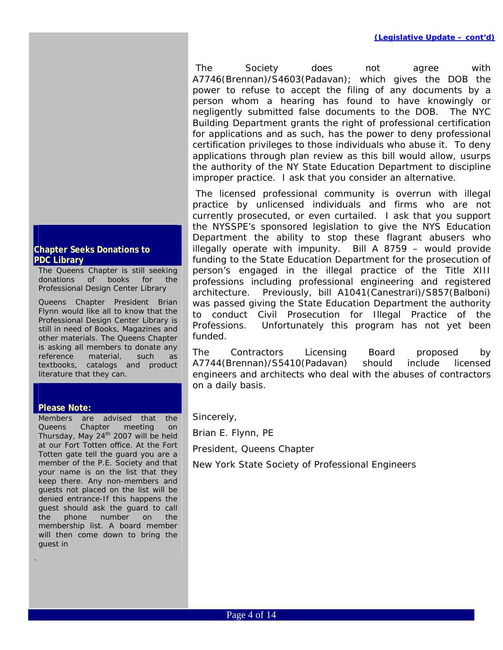#### **Chapter Seeks Donations to PDC Library**

The Queens Chapter is still seeking donations of books for the Professional Design Center Library

Queens Chapter President Brian Flynn would like all to know that the Professional Design Center Library is still in need of Books, Magazines and other materials. The Queens Chapter is asking all members to donate any reference material, such as textbooks, catalogs and product literature that they can.

#### **Please Note:**

.

Members are advised that the Queens Chapter meeting on Thursday, May  $24<sup>th</sup>$  2007 will be held at our Fort Totten office. At the Fort Totten gate tell the guard you are a member of the P.E. Society and that your name is on the list that they keep there. Any non-members and guests not placed on the list will be denied entrance-If this happens the guest should ask the guard to call the phone number on the membership list. A board member will then come down to bring the guest in

 The Society does not agree with A7746(Brennan)/S4603(Padavan); which gives the DOB the power to refuse to accept the filing of any documents by a person whom a hearing has found to have knowingly or negligently submitted false documents to the DOB. The NYC Building Department grants the right of professional certification for applications and as such, has the power to deny professional certification privileges to those individuals who abuse it. To deny applications through plan review as this bill would allow, usurps the authority of the NY State Education Department to discipline improper practice. I ask that you consider an alternative.

 The licensed professional community is overrun with illegal practice by unlicensed individuals and firms who are not currently prosecuted, or even curtailed. I ask that you support the NYSSPE's sponsored legislation to give the NYS Education Department the ability to stop these flagrant abusers who illegally operate with impunity. Bill A 8759 – would provide funding to the State Education Department for the prosecution of person's engaged in the illegal practice of the Title XIII professions including professional engineering and registered architecture. Previously, bill A1041(Canestrari)/S857(Balboni) was passed giving the State Education Department the authority to conduct Civil Prosecution for Illegal Practice of the Professions. Unfortunately this program has not yet been funded.

The Contractors Licensing Board proposed by A7744(Brennan)/S5410(Padavan) should include licensed engineers and architects who deal with the abuses of contractors on a daily basis.

Sincerely,

Brian E. Flynn, PE

President, Queens Chapter

New York State Society of Professional Engineers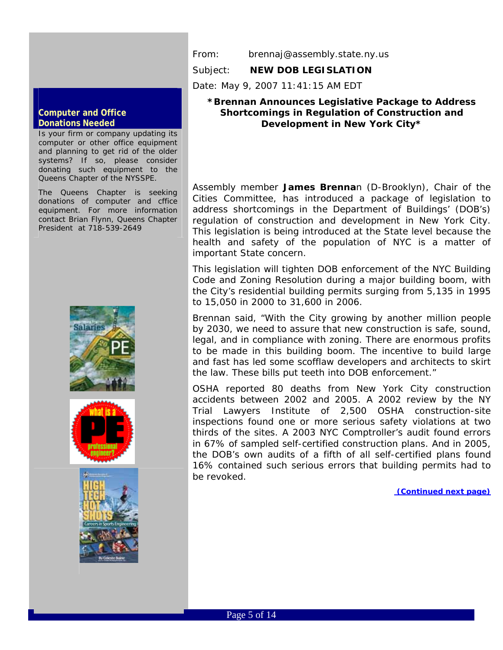From: brennaj@assembly.state.ny.us

Subject: **NEW DOB LEGISLATION**

Date: May 9, 2007 11:41:15 AM EDT

#### **\*Brennan Announces Legislative Package to Address Shortcomings in Regulation of Construction and Development in New York City\***

Assembly member **James Brenna**n (D-Brooklyn), Chair of the Cities Committee, has introduced a package of legislation to address shortcomings in the Department of Buildings' (DOB's) regulation of construction and development in New York City. This legislation is being introduced at the State level because the health and safety of the population of NYC is a matter of important State concern.

This legislation will tighten DOB enforcement of the NYC Building Code and Zoning Resolution during a major building boom, with the City's residential building permits surging from 5,135 in 1995 to 15,050 in 2000 to 31,600 in 2006.

Brennan said, "With the City growing by another million people by 2030, we need to assure that new construction is safe, sound, legal, and in compliance with zoning. There are enormous profits to be made in this building boom. The incentive to build large and fast has led some scofflaw developers and architects to skirt the law. These bills put teeth into DOB enforcement."

OSHA reported 80 deaths from New York City construction accidents between 2002 and 2005. A 2002 review by the NY Trial Lawyers Institute of 2,500 OSHA construction-site inspections found one or more serious safety violations at two thirds of the sites. A 2003 NYC Comptroller's audit found errors in 67% of sampled self-certified construction plans. And in 2005, the DOB's own audits of a fifth of all self-certified plans found 16% contained such serious errors that building permits had to be revoked.

 *(Continued next page)*

#### **Computer and Office Donations Needed**

Is your firm or company updating its computer or other office equipment and planning to get rid of the older systems? If so, please consider donating such equipment to the Queens Chapter of the NYSSPE.

The Queens Chapter is seeking donations of computer and cffice equipment. For more information contact Brian Flynn, Queens Chapter President at 718-539-2649





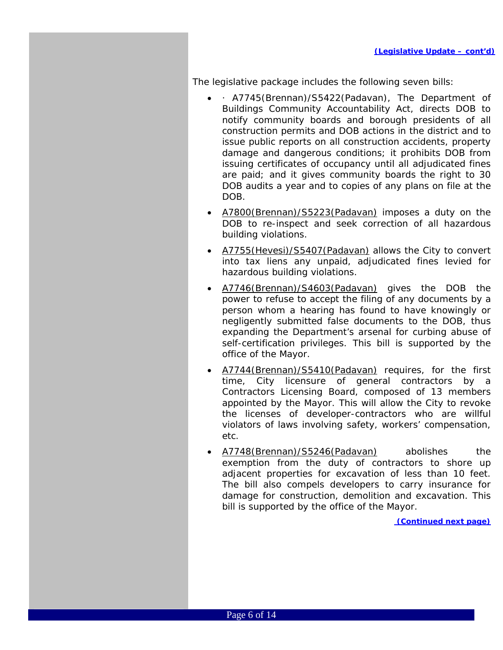The legislative package includes the following seven bills:

- · A7745(Brennan)/S5422(Padavan), The Department of Buildings Community Accountability Act, directs DOB to notify community boards and borough presidents of all construction permits and DOB actions in the district and to issue public reports on all construction accidents, property damage and dangerous conditions; it prohibits DOB from issuing certificates of occupancy until all adjudicated fines are paid; and it gives community boards the right to 30 DOB audits a year and to copies of any plans on file at the DOB.
- A7800(Brennan)/S5223(Padavan) imposes a duty on the DOB to re-inspect and seek correction of all hazardous building violations.
- A7755(Hevesi)/S5407(Padavan) allows the City to convert into tax liens any unpaid, adjudicated fines levied for hazardous building violations.
- A7746(Brennan)/S4603(Padavan) gives the DOB the power to refuse to accept the filing of any documents by a person whom a hearing has found to have knowingly or negligently submitted false documents to the DOB, thus expanding the Department's arsenal for curbing abuse of self-certification privileges. This bill is supported by the office of the Mayor.
- A7744(Brennan)/S5410(Padavan) requires, for the first time, City licensure of general contractors by a Contractors Licensing Board, composed of 13 members appointed by the Mayor. This will allow the City to revoke the licenses of developer-contractors who are willful violators of laws involving safety, workers' compensation, etc.
- A7748(Brennan)/S5246(Padavan) abolishes the exemption from the duty of contractors to shore up adjacent properties for excavation of less than 10 feet. The bill also compels developers to carry insurance for damage for construction, demolition and excavation. This bill is supported by the office of the Mayor.

 *(Continued next page)*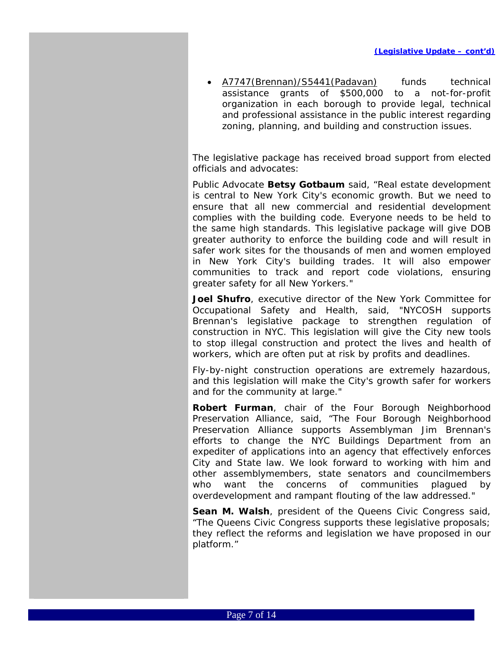• A7747(Brennan)/S5441(Padavan) funds technical assistance grants of \$500,000 to a not-for-profit organization in each borough to provide legal, technical and professional assistance in the public interest regarding zoning, planning, and building and construction issues.

The legislative package has received broad support from elected officials and advocates:

Public Advocate **Betsy Gotbaum** said, "Real estate development is central to New York City's economic growth. But we need to ensure that all new commercial and residential development complies with the building code. Everyone needs to be held to the same high standards. This legislative package will give DOB greater authority to enforce the building code and will result in safer work sites for the thousands of men and women employed in New York City's building trades. It will also empower communities to track and report code violations, ensuring greater safety for all New Yorkers."

**Joel Shufro**, executive director of the New York Committee for Occupational Safety and Health, said, "NYCOSH supports Brennan's legislative package to strengthen regulation of construction in NYC. This legislation will give the City new tools to stop illegal construction and protect the lives and health of workers, which are often put at risk by profits and deadlines.

Fly-by-night construction operations are extremely hazardous, and this legislation will make the City's growth safer for workers and for the community at large."

**Robert Furman**, chair of the Four Borough Neighborhood Preservation Alliance, said, "The Four Borough Neighborhood Preservation Alliance supports Assemblyman Jim Brennan's efforts to change the NYC Buildings Department from an expediter of applications into an agency that effectively enforces City and State law. We look forward to working with him and other assemblymembers, state senators and councilmembers who want the concerns of communities plagued by overdevelopment and rampant flouting of the law addressed."

**Sean M. Walsh**, president of the Queens Civic Congress said, "The Queens Civic Congress supports these legislative proposals; they reflect the reforms and legislation we have proposed in our platform."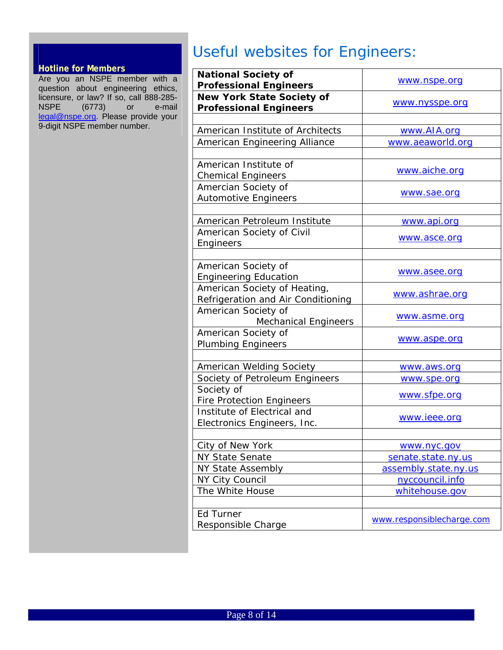#### **Hotline for Members**

Are you an NSPE member with a question about engineering ethics, licensure, or law? If so, call 888-285- NSPE (6773) or e-mail [legal@nspe.org](mailto:legal@nspe.org). Please provide your 9-digit NSPE member number.

### Useful websites for Engineers:

| <b>National Society of</b><br><b>Professional Engineers</b>  | www.nspe.org              |  |  |  |
|--------------------------------------------------------------|---------------------------|--|--|--|
| <b>New York State Society of</b>                             |                           |  |  |  |
| <b>Professional Engineers</b>                                | www.nysspe.org            |  |  |  |
|                                                              |                           |  |  |  |
| American Institute of Architects                             | www.AIA.org               |  |  |  |
| American Engineering Alliance                                | www.aeaworld.org          |  |  |  |
|                                                              |                           |  |  |  |
| American Institute of                                        | www.aiche.org             |  |  |  |
| <b>Chemical Engineers</b>                                    |                           |  |  |  |
| Amercian Society of                                          | www.sae.org               |  |  |  |
| <b>Automotive Engineers</b>                                  |                           |  |  |  |
|                                                              |                           |  |  |  |
| American Petroleum Institute                                 | www.api.org               |  |  |  |
| American Society of Civil                                    | www.asce.org              |  |  |  |
| Engineers                                                    |                           |  |  |  |
|                                                              |                           |  |  |  |
| American Society of                                          | www.asee.org              |  |  |  |
| <b>Engineering Education</b><br>American Society of Heating, |                           |  |  |  |
| Refrigeration and Air Conditioning                           | www.ashrae.org            |  |  |  |
| American Society of                                          |                           |  |  |  |
| <b>Mechanical Engineers</b>                                  | www.asme.org              |  |  |  |
| American Society of                                          |                           |  |  |  |
| <b>Plumbing Engineers</b>                                    | www.aspe.org              |  |  |  |
|                                                              |                           |  |  |  |
| <b>American Welding Society</b>                              | www.aws.org               |  |  |  |
| Society of Petroleum Engineers                               | www.spe.org               |  |  |  |
| Society of                                                   |                           |  |  |  |
| <b>Fire Protection Engineers</b>                             | www.sfpe.org              |  |  |  |
| Institute of Electrical and                                  | www.ieee.org              |  |  |  |
| Electronics Engineers, Inc.                                  |                           |  |  |  |
|                                                              |                           |  |  |  |
| City of New York                                             | www.nyc.gov               |  |  |  |
| NY State Senate                                              | senate.state.ny.us        |  |  |  |
| <b>NY State Assembly</b>                                     | assembly.state.ny.us      |  |  |  |
| NY City Council                                              | nyccouncil.info           |  |  |  |
| The White House                                              | whitehouse.gov            |  |  |  |
|                                                              |                           |  |  |  |
| <b>Ed Turner</b>                                             | www.responsiblecharge.com |  |  |  |
| Responsible Charge                                           |                           |  |  |  |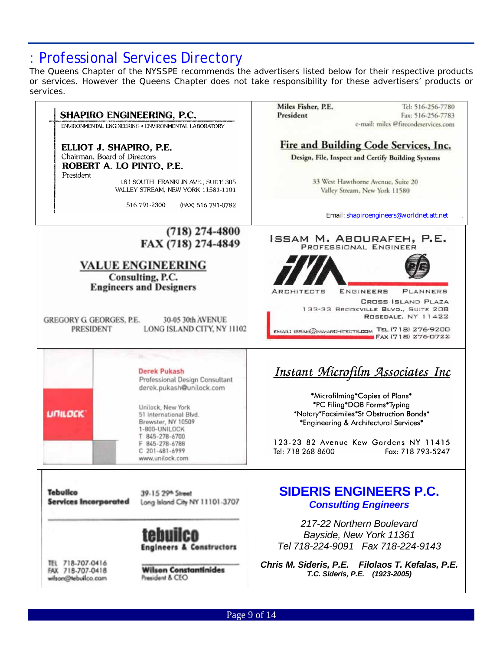### : Professional Services Directory

The Queens Chapter of the NYSSPE recommends the advertisers listed below for their respective products or services. However the Queens Chapter does not take responsibility for these advertisers' products or services.

|                                                                                     | SHAPIRO ENGINEERING, P.C.                                                                                                                                                                                                                        | Miles Fisher, P.E.<br>President                                                                                                                                                                                                                               | Tel: 516-256-7780<br>Fax: 516-256-7783                                      |
|-------------------------------------------------------------------------------------|--------------------------------------------------------------------------------------------------------------------------------------------------------------------------------------------------------------------------------------------------|---------------------------------------------------------------------------------------------------------------------------------------------------------------------------------------------------------------------------------------------------------------|-----------------------------------------------------------------------------|
|                                                                                     | ENVIRONMENTAL ENGINEERING . ENVIRONMENTAL LABORATORY                                                                                                                                                                                             |                                                                                                                                                                                                                                                               | e-mail: miles @firecodeservices.com                                         |
| ELLIOT J. SHAPIRO, P.E.<br>Chairman, Board of Directors<br>ROBERT A. LO PINTO, P.E. |                                                                                                                                                                                                                                                  | Fire and Building Code Services, Inc.<br>Design, File, Inspect and Certify Building Systems                                                                                                                                                                   |                                                                             |
| President                                                                           | 181 SOUTH FRANKLIN AVE., SUITE 305<br>VALLEY STREAM, NEW YORK 11581-1101                                                                                                                                                                         | 33 West Hawthorne Avenue, Suite 20<br>Valley Stream, New York 11580                                                                                                                                                                                           |                                                                             |
|                                                                                     | 516 791-2300<br>(FAX) 516 791-0782                                                                                                                                                                                                               |                                                                                                                                                                                                                                                               | Email: shapiroengineers@worldnet.att.net                                    |
|                                                                                     | $(718)$ 274-4800<br>FAX (718) 274-4849                                                                                                                                                                                                           | ISSAM M. ABOURAFEH, <b>P.E.</b><br>PROFESSIONAL ENGINEER                                                                                                                                                                                                      |                                                                             |
|                                                                                     | <b>VALUE ENGINEERING</b><br>Consulting, P.C.<br><b>Engineers and Designers</b>                                                                                                                                                                   | <b>ARCHITECTS</b><br>ENGINEERS                                                                                                                                                                                                                                | PLANNERS<br><b>CROSS ISLAND PLAZA</b><br>133-33 BROOKVILLE BLVD., SUITE 208 |
| <b>GREGORY G GEORGES, P.E.</b><br><b>PRESIDENT</b>                                  | 30-05 30th AVENUE<br>LONG ISLAND CITY, NY 11102                                                                                                                                                                                                  | EMAIL: ISSAM@IMA-ARCHITECTS.COM TEL (718) 276-9200                                                                                                                                                                                                            | ROSEDALE, NY 11422                                                          |
|                                                                                     |                                                                                                                                                                                                                                                  |                                                                                                                                                                                                                                                               | $FRX (718) 276-0722$                                                        |
| <b>UNILDEK</b>                                                                      | <b>Derek Pukash</b><br>Professional Design Consultant<br>derek.pukash@unilock.com<br>Unilock, New York<br>51 International Blvd.<br>Brewster, NY 10509<br>1-800-UNILOCK<br>845-278-6700<br>F 845-278-6788<br>$C$ 201-481-6999<br>www.unilock.com | <u> Instant Microfilm Associates Inc</u><br>*Microfilming*Copies of Plans*<br>*PC Filing*DOB Forms*Typing<br>*Notary*Facsimiles*St Obstruction Bonds*<br>*Engineering & Architectural Services*<br>123-23 82 Avenue Kew Gardens NY 11415<br>Tel: 718 268 8600 | Fax: 718 793-5247                                                           |
| <b>Tebuilco</b><br><b>Services Incorporated</b>                                     | 39-15 29th Street<br>Long Island City NY 11101-3707                                                                                                                                                                                              | <b>SIDERIS ENGINEERS P.C.</b><br><b>Consulting Engineers</b>                                                                                                                                                                                                  |                                                                             |
|                                                                                     | <b>tebuilco</b><br><b>Engineers &amp; Constructors</b>                                                                                                                                                                                           | 217-22 Northern Boulevard<br>Bayside, New York 11361<br>Tel 718-224-9091  Fax 718-224-9143                                                                                                                                                                    |                                                                             |

Page 9 of 14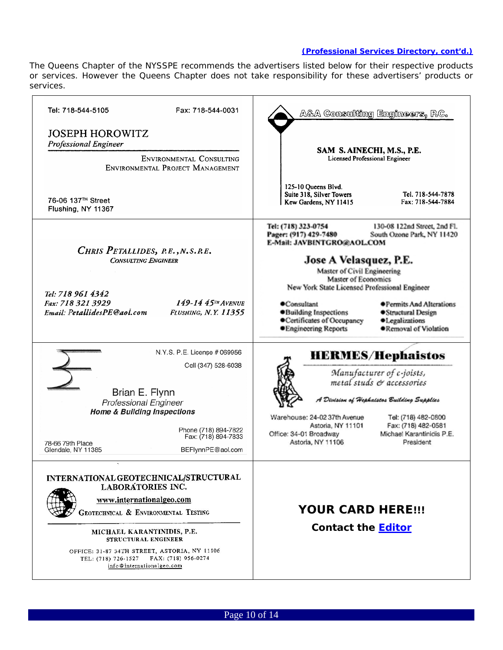#### *(Professional Services Directory, cont'd.)*

The Queens Chapter of the NYSSPE recommends the advertisers listed below for their respective products or services. However the Queens Chapter does not take responsibility for these advertisers' products or services.

| Fax: 718-544-0031<br>Tel: 718-544-5105                                                                                                                                                                                                                                                                                | A&A Consulting Engineers, P.C.                                                                                                                                                                                                                                                                                                                                                                                                                                                     |
|-----------------------------------------------------------------------------------------------------------------------------------------------------------------------------------------------------------------------------------------------------------------------------------------------------------------------|------------------------------------------------------------------------------------------------------------------------------------------------------------------------------------------------------------------------------------------------------------------------------------------------------------------------------------------------------------------------------------------------------------------------------------------------------------------------------------|
| <b>JOSEPH HOROWITZ</b><br><b>Professional Engineer</b><br><b>ENVIRONMENTAL CONSULTING</b><br>ENVIRONMENTAL PROJECT MANAGEMENT<br>76-06 137 <sup>TH</sup> Street<br>Flushing, NY 11367                                                                                                                                 | SAM S. AINECHI, M.S., P.E.<br>Licensed Professional Engineer<br>125-10 Queens Blvd.<br>Suite 318, Silver Towers<br>Tel. 718-544-7878<br>Kew Gardens, NY 11415<br>Fax: 718-544-7884                                                                                                                                                                                                                                                                                                 |
| CHRIS PETALLIDES, RE., N.S.R.E.<br><b>CONSULTING ENGINEER</b><br>Tel: 718 961 4342<br>$149 - 1445$ <sup>TH</sup> AVENUE<br>Fax: 718 321 3929<br>Email: PetallidesPE@aol.com<br><b>FLUSHING, N.Y. 11355</b>                                                                                                            | Tel: (718) 323-0754<br>130-08 122nd Street, 2nd Fl.<br>Pager: (917) 429-7480<br>South Ozone Park, NY 11420<br>E-Mail: JAVBINTGRO@AOL.COM<br>Jose A Velasquez, P.E.<br>Master of Civil Engineering<br>Master of Economics<br>New York State Licensed Professional Engineer<br>Consultant<br>● Permits And Alterations<br><b>·Building Inspections</b><br>● Structural Design<br>Certificates of Occupancy<br>·Legalizations<br><b>•Engineering Reports</b><br>●Removal of Violation |
| N.Y.S. P.E. License # 069956<br>Cell (347) 528-6038<br>Brian E. Flynn<br>Professional Engineer<br><b>Home &amp; Building Inspections</b><br>Phone (718) 894-7822<br>Fax: (718) 894-7833<br>78-66 79th Place<br>BEFlynnPE@aol.com<br>Glendale, NY 11385                                                                | <b>HERMES/Hephaistos</b><br>Manufacturer of c-joists,<br>metal studs & accessories<br>A Division of Hephaistos Building Supplies<br>Warehouse: 24-02 37th Avenue<br>Tel: (718) 482-0800<br>Astoria, NY 11101<br>Fax: (718) 482-0581<br>Office: 34-01 Broadway<br>Michael Karantinidis P.E.<br>Astoria, NY 11106<br>President                                                                                                                                                       |
| INTERNATIONAL GEOTECHNICAL/STRUCTURAL<br><b>LABORÁTORIES INC.</b><br>www.internationalgeo.com<br>GEOTECHNICAL & ENVIRONMENTAL TESTING<br>MICHAEL KARANTINIDIS, P.E.<br>STRUCTURAL ENGINEER<br>OFFICE: 31-87 34TH STREET, ASTORIA, NY 11106<br>TEL: (718) 726-1527    FAX: (718) 956-0274<br>info@internationalgeo.com | <b>YOUR CARD HERE!!!</b><br>Contact the <b>Editor</b>                                                                                                                                                                                                                                                                                                                                                                                                                              |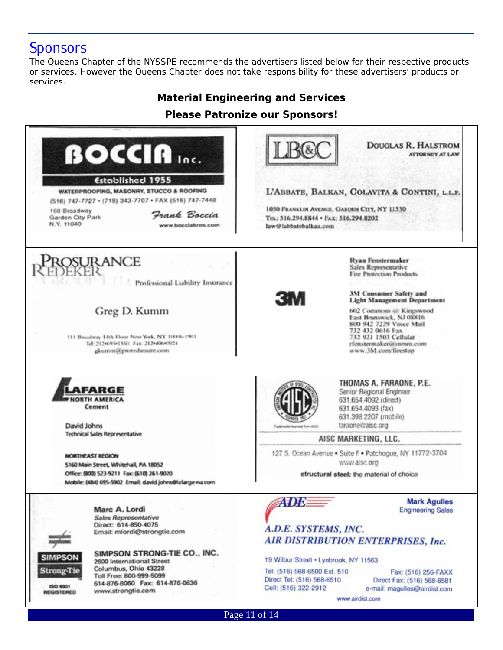### **Sponsors**

The Queens Chapter of the NYSSPE recommends the advertisers listed below for their respective products or services. However the Queens Chapter does not take responsibility for these advertisers' products or services.

#### *Material Engineering and Services*

**Please Patronize our Sponsors!** 

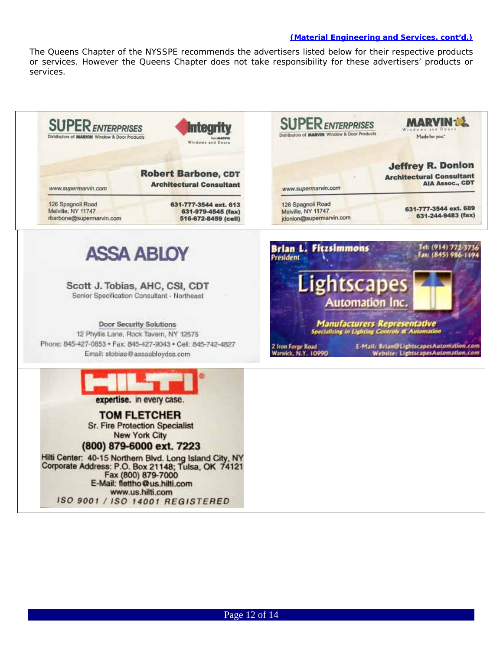#### *(Material Engineering and Services, cont'd.)*

The Queens Chapter of the NYSSPE recommends the advertisers listed below for their respective products or services. However the Queens Chapter does not take responsibility for these advertisers' products or services.

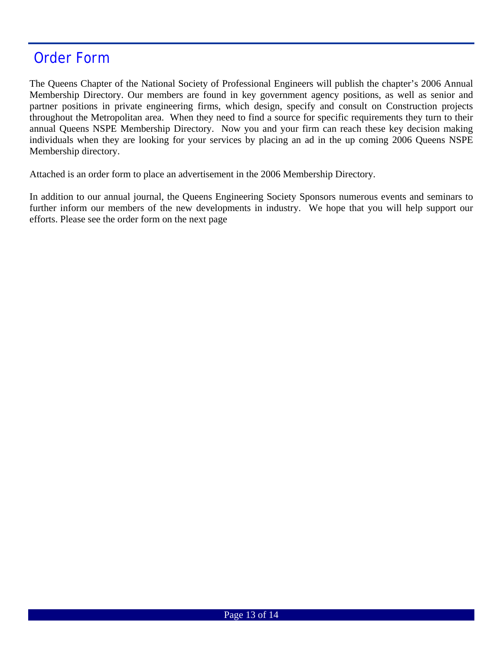### Order Form

The Queens Chapter of the National Society of Professional Engineers will publish the chapter's 2006 Annual Membership Directory. Our members are found in key government agency positions, as well as senior and partner positions in private engineering firms, which design, specify and consult on Construction projects throughout the Metropolitan area. When they need to find a source for specific requirements they turn to their annual Queens NSPE Membership Directory. Now you and your firm can reach these key decision making individuals when they are looking for your services by placing an ad in the up coming 2006 Queens NSPE Membership directory.

Attached is an order form to place an advertisement in the 2006 Membership Directory.

In addition to our annual journal, the Queens Engineering Society Sponsors numerous events and seminars to further inform our members of the new developments in industry. We hope that you will help support our efforts. Please see the order form on the next page